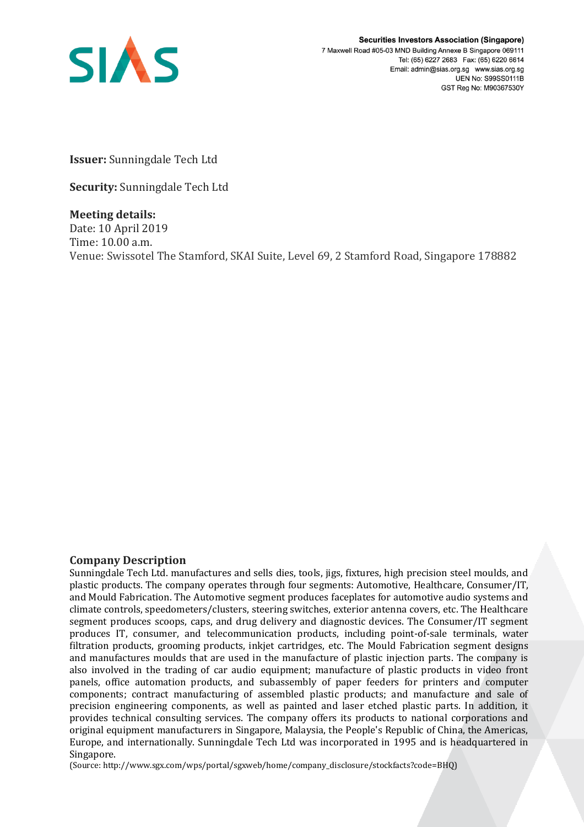

**Securities Investors Association (Singapore)** 7 Maxwell Road #05-03 MND Building Annexe B Singapore 069111 Tel: (65) 6227 2683 Fax: (65) 6220 6614 Email: admin@sias.org.sg www.sias.org.sg **UEN No: S99SS0111B** GST Reg No: M90367530Y

**Issuer:** Sunningdale Tech Ltd

**Security:** Sunningdale Tech Ltd

**Meeting details:**  Date: 10 April 2019 Time: 10.00 a.m. Venue: Swissotel The Stamford, SKAI Suite, Level 69, 2 Stamford Road, Singapore 178882

## **Company Description**

Sunningdale Tech Ltd. manufactures and sells dies, tools, jigs, fixtures, high precision steel moulds, and plastic products. The company operates through four segments: Automotive, Healthcare, Consumer/IT, and Mould Fabrication. The Automotive segment produces faceplates for automotive audio systems and climate controls, speedometers/clusters, steering switches, exterior antenna covers, etc. The Healthcare segment produces scoops, caps, and drug delivery and diagnostic devices. The Consumer/IT segment produces IT, consumer, and telecommunication products, including point-of-sale terminals, water filtration products, grooming products, inkjet cartridges, etc. The Mould Fabrication segment designs and manufactures moulds that are used in the manufacture of plastic injection parts. The company is also involved in the trading of car audio equipment; manufacture of plastic products in video front panels, office automation products, and subassembly of paper feeders for printers and computer components; contract manufacturing of assembled plastic products; and manufacture and sale of precision engineering components, as well as painted and laser etched plastic parts. In addition, it provides technical consulting services. The company offers its products to national corporations and original equipment manufacturers in Singapore, Malaysia, the People's Republic of China, the Americas, Europe, and internationally. Sunningdale Tech Ltd was incorporated in 1995 and is headquartered in Singapore.

(Source: http://www.sgx.com/wps/portal/sgxweb/home/company\_disclosure/stockfacts?code=BHQ)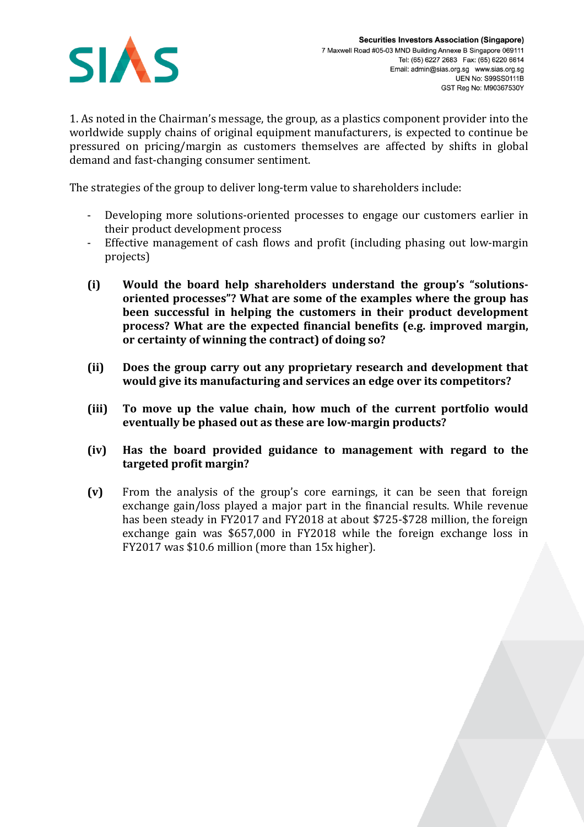

1. As noted in the Chairman's message, the group, as a plastics component provider into the worldwide supply chains of original equipment manufacturers, is expected to continue be pressured on pricing/margin as customers themselves are affected by shifts in global demand and fast-changing consumer sentiment.

The strategies of the group to deliver long-term value to shareholders include:

- Developing more solutions-oriented processes to engage our customers earlier in their product development process
- Effective management of cash flows and profit (including phasing out low-margin projects)
- **(i) Would the board help shareholders understand the group's "solutionsoriented processes"? What are some of the examples where the group has been successful in helping the customers in their product development process? What are the expected financial benefits (e.g. improved margin, or certainty of winning the contract) of doing so?**
- **(ii) Does the group carry out any proprietary research and development that would give its manufacturing and services an edge over its competitors?**
- **(iii) To move up the value chain, how much of the current portfolio would eventually be phased out as these are low-margin products?**
- **(iv) Has the board provided guidance to management with regard to the targeted profit margin?**
- **(v)** From the analysis of the group's core earnings, it can be seen that foreign exchange gain/loss played a major part in the financial results. While revenue has been steady in FY2017 and FY2018 at about \$725-\$728 million, the foreign exchange gain was \$657,000 in FY2018 while the foreign exchange loss in FY2017 was \$10.6 million (more than 15x higher).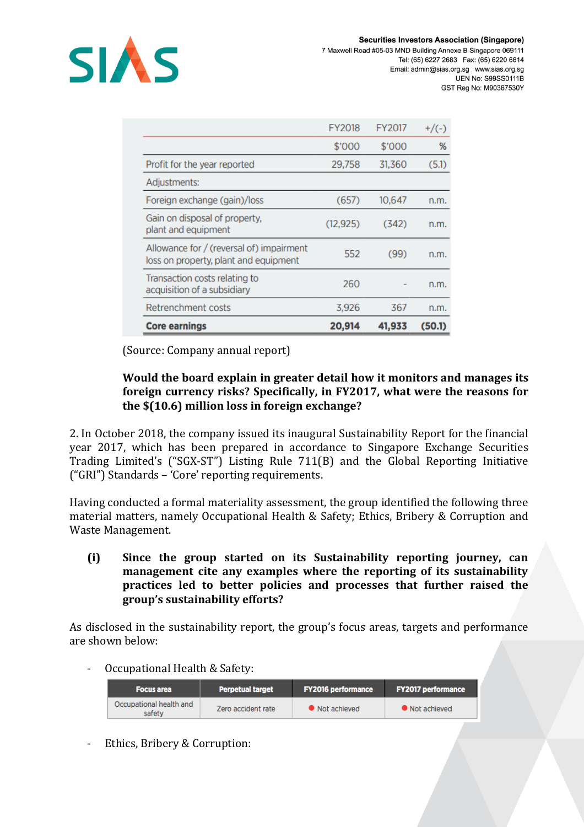

|                                                                                   | FY2018    | FY2017 | $+$ /(-) |
|-----------------------------------------------------------------------------------|-----------|--------|----------|
|                                                                                   | \$'000    | \$'000 | %        |
| Profit for the year reported                                                      | 29,758    | 31,360 | (5.1)    |
| Adjustments:                                                                      |           |        |          |
| Foreign exchange (gain)/loss                                                      | (657)     | 10,647 | n.m.     |
| Gain on disposal of property,<br>plant and equipment                              | (12, 925) | (342)  | n.m.     |
| Allowance for / (reversal of) impairment<br>loss on property, plant and equipment | 552       | (99)   | n.m.     |
| Transaction costs relating to<br>acquisition of a subsidiary                      | 260       |        | n.m.     |
| Retrenchment costs                                                                | 3,926     | 367    | n.m.     |
| <b>Core earnings</b>                                                              | 20,914    | 41,933 | (50.1)   |

(Source: Company annual report)

## **Would the board explain in greater detail how it monitors and manages its foreign currency risks? Specifically, in FY2017, what were the reasons for the \$(10.6) million loss in foreign exchange?**

2. In October 2018, the company issued its inaugural Sustainability Report for the financial year 2017, which has been prepared in accordance to Singapore Exchange Securities Trading Limited's ("SGX-ST") Listing Rule 711(B) and the Global Reporting Initiative ("GRI") Standards – 'Core' reporting requirements.

Having conducted a formal materiality assessment, the group identified the following three material matters, namely Occupational Health & Safety; Ethics, Bribery & Corruption and Waste Management.

**(i) Since the group started on its Sustainability reporting journey, can management cite any examples where the reporting of its sustainability practices led to better policies and processes that further raised the group's sustainability efforts?**

As disclosed in the sustainability report, the group's focus areas, targets and performance are shown below:

- Occupational Health & Safety:

| <b>Focus area</b>                 | <b>Perpetual target</b> | <b>FY2016 performance</b> | <b>FY2017 performance</b> |
|-----------------------------------|-------------------------|---------------------------|---------------------------|
| Occupational health and<br>safety | Zero accident rate      | • Not achieved            | • Not achieved            |

- Ethics, Bribery & Corruption: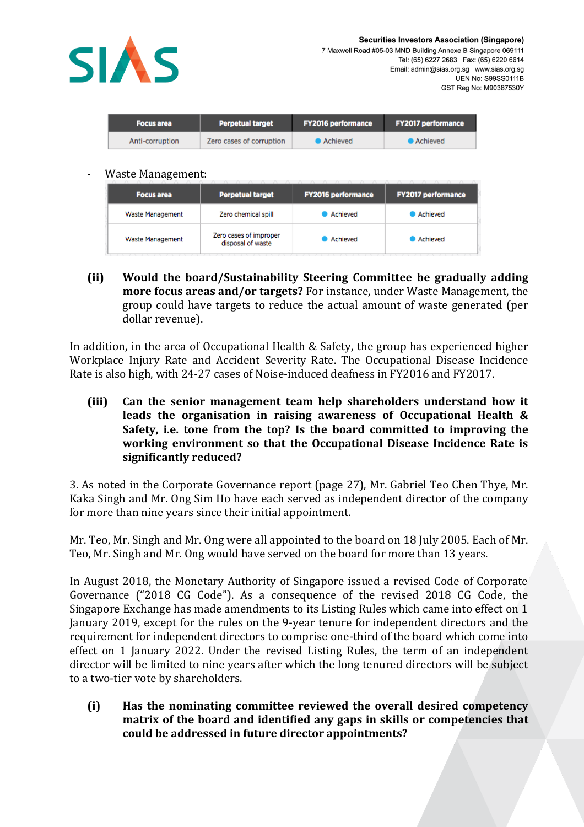

| <b>Focus area</b> | <b>Perpetual target</b>  | <b>FY2016 performance</b> | <b>FY2017 performance</b> |
|-------------------|--------------------------|---------------------------|---------------------------|
| Anti-corruption   | Zero cases of corruption | ● Achieved                | • Achieved                |
|                   |                          |                           |                           |

## - Waste Management:

| <b>Focus area</b> | <b>Perpetual target</b>                     | <b>FY2016 performance</b> | <b>FY2017 performance</b> |
|-------------------|---------------------------------------------|---------------------------|---------------------------|
| Waste Management  | Zero chemical spill                         | Achieved                  | Achieved                  |
| Waste Management  | Zero cases of improper<br>disposal of waste | Achieved                  | Achieved                  |

**(ii) Would the board/Sustainability Steering Committee be gradually adding more focus areas and/or targets?** For instance, under Waste Management, the group could have targets to reduce the actual amount of waste generated (per dollar revenue).

In addition, in the area of Occupational Health & Safety, the group has experienced higher Workplace Injury Rate and Accident Severity Rate. The Occupational Disease Incidence Rate is also high, with 24-27 cases of Noise-induced deafness in FY2016 and FY2017.

**(iii) Can the senior management team help shareholders understand how it leads the organisation in raising awareness of Occupational Health & Safety, i.e. tone from the top? Is the board committed to improving the working environment so that the Occupational Disease Incidence Rate is significantly reduced?** 

3. As noted in the Corporate Governance report (page 27), Mr. Gabriel Teo Chen Thye, Mr. Kaka Singh and Mr. Ong Sim Ho have each served as independent director of the company for more than nine years since their initial appointment.

Mr. Teo, Mr. Singh and Mr. Ong were all appointed to the board on 18 July 2005. Each of Mr. Teo, Mr. Singh and Mr. Ong would have served on the board for more than 13 years.

In August 2018, the Monetary Authority of Singapore issued a revised Code of Corporate Governance ("2018 CG Code"). As a consequence of the revised 2018 CG Code, the Singapore Exchange has made amendments to its Listing Rules which came into effect on 1 January 2019, except for the rules on the 9-year tenure for independent directors and the requirement for independent directors to comprise one-third of the board which come into effect on 1 January 2022. Under the revised Listing Rules, the term of an independent director will be limited to nine years after which the long tenured directors will be subject to a two-tier vote by shareholders.

**(i) Has the nominating committee reviewed the overall desired competency matrix of the board and identified any gaps in skills or competencies that could be addressed in future director appointments?**